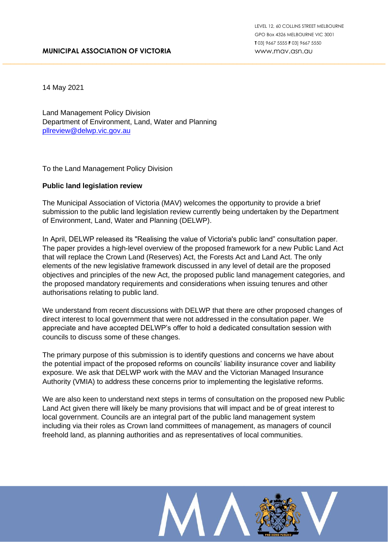14 May 2021

Land Management Policy Division Department of Environment, Land, Water and Planning [pllreview@delwp.vic.gov.au](mailto:Pllreview@delwp.vic.gov.au)

To the Land Management Policy Division

## **Public land legislation review**

The Municipal Association of Victoria (MAV) welcomes the opportunity to provide a brief submission to the public land legislation review currently being undertaken by the Department of Environment, Land, Water and Planning (DELWP).

\_\_\_\_\_\_\_\_\_\_\_\_\_\_\_\_\_\_\_\_\_\_\_\_\_\_\_\_\_\_\_\_\_\_\_\_\_\_\_\_\_\_\_\_\_\_\_\_\_\_\_\_\_\_\_\_\_\_\_\_\_\_\_\_\_\_\_\_\_\_\_\_\_\_\_\_\_\_\_\_\_\_\_\_\_\_\_\_\_\_\_\_\_\_\_\_\_\_

In April, DELWP released its "Realising the value of Victoria's public land" consultation paper. The paper provides a high-level overview of the proposed framework for a new Public Land Act that will replace the Crown Land (Reserves) Act, the Forests Act and Land Act. The only elements of the new legislative framework discussed in any level of detail are the proposed objectives and principles of the new Act, the proposed public land management categories, and the proposed mandatory requirements and considerations when issuing tenures and other authorisations relating to public land.

We understand from recent discussions with DELWP that there are other proposed changes of direct interest to local government that were not addressed in the consultation paper. We appreciate and have accepted DELWP's offer to hold a dedicated consultation session with councils to discuss some of these changes.

The primary purpose of this submission is to identify questions and concerns we have about the potential impact of the proposed reforms on councils' liability insurance cover and liability exposure. We ask that DELWP work with the MAV and the Victorian Managed Insurance Authority (VMIA) to address these concerns prior to implementing the legislative reforms.

We are also keen to understand next steps in terms of consultation on the proposed new Public Land Act given there will likely be many provisions that will impact and be of great interest to local government. Councils are an integral part of the public land management system including via their roles as Crown land committees of management, as managers of council freehold land, as planning authorities and as representatives of local communities.